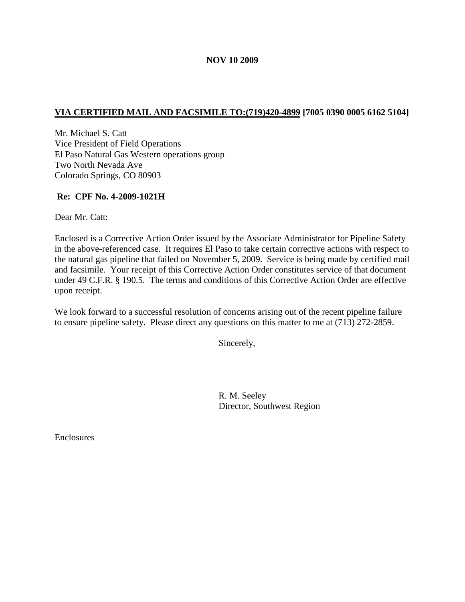# **VIA CERTIFIED MAIL AND FACSIMILE TO:(719)420-4899 [7005 0390 0005 6162 5104]**

Mr. Michael S. Catt Vice President of Field Operations El Paso Natural Gas Western operations group Two North Nevada Ave Colorado Springs, CO 80903

### **Re: CPF No. 4-2009-1021H**

Dear Mr. Catt:

Enclosed is a Corrective Action Order issued by the Associate Administrator for Pipeline Safety in the above-referenced case. It requires El Paso to take certain corrective actions with respect to the natural gas pipeline that failed on November 5, 2009. Service is being made by certified mail and facsimile. Your receipt of this Corrective Action Order constitutes service of that document under 49 C.F.R. § 190.5. The terms and conditions of this Corrective Action Order are effective upon receipt.

We look forward to a successful resolution of concerns arising out of the recent pipeline failure to ensure pipeline safety. Please direct any questions on this matter to me at (713) 272-2859.

Sincerely,

R. M. Seeley Director, Southwest Region

**Enclosures**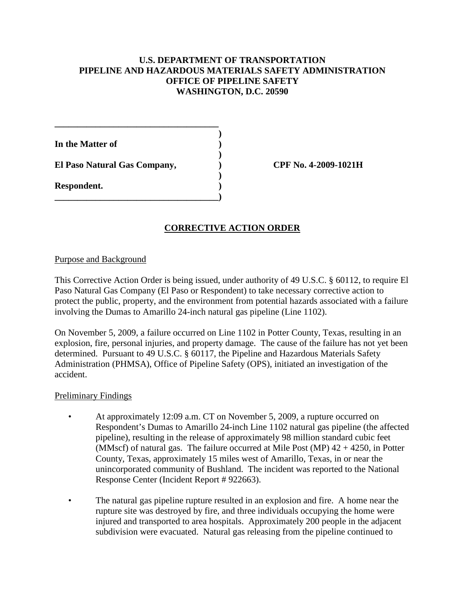## **U.S. DEPARTMENT OF TRANSPORTATION PIPELINE AND HAZARDOUS MATERIALS SAFETY ADMINISTRATION OFFICE OF PIPELINE SAFETY WASHINGTON, D.C. 20590**

| In the Matter of             |  |
|------------------------------|--|
| El Paso Natural Gas Company, |  |
| Respondent.                  |  |

**\_\_\_\_\_\_\_\_\_\_\_\_\_\_\_\_\_\_\_\_\_\_\_\_\_\_\_\_\_\_\_\_\_\_\_\_**

**El Paso Natural Gas Company, ) CPF No. 4-2009-1021H**

# **CORRECTIVE ACTION ORDER**

#### Purpose and Background

This Corrective Action Order is being issued, under authority of 49 U.S.C. § 60112, to require El Paso Natural Gas Company (El Paso or Respondent) to take necessary corrective action to protect the public, property, and the environment from potential hazards associated with a failure involving the Dumas to Amarillo 24-inch natural gas pipeline (Line 1102).

On November 5, 2009, a failure occurred on Line 1102 in Potter County, Texas, resulting in an explosion, fire, personal injuries, and property damage. The cause of the failure has not yet been determined. Pursuant to 49 U.S.C. § 60117, the Pipeline and Hazardous Materials Safety Administration (PHMSA), Office of Pipeline Safety (OPS), initiated an investigation of the accident.

#### Preliminary Findings

- At approximately 12:09 a.m. CT on November 5, 2009, a rupture occurred on Respondent's Dumas to Amarillo 24-inch Line 1102 natural gas pipeline (the affected pipeline), resulting in the release of approximately 98 million standard cubic feet (MMscf) of natural gas. The failure occurred at Mile Post (MP)  $42 + 4250$ , in Potter County, Texas, approximately 15 miles west of Amarillo, Texas, in or near the unincorporated community of Bushland. The incident was reported to the National Response Center (Incident Report # 922663).
- The natural gas pipeline rupture resulted in an explosion and fire. A home near the rupture site was destroyed by fire, and three individuals occupying the home were injured and transported to area hospitals. Approximately 200 people in the adjacent subdivision were evacuated. Natural gas releasing from the pipeline continued to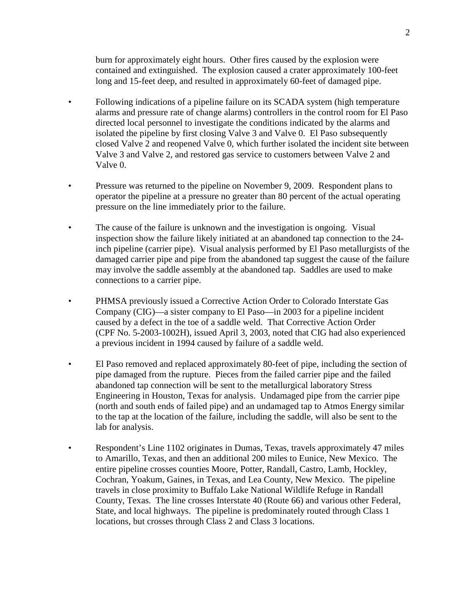burn for approximately eight hours. Other fires caused by the explosion were contained and extinguished. The explosion caused a crater approximately 100-feet long and 15-feet deep, and resulted in approximately 60-feet of damaged pipe.

- Following indications of a pipeline failure on its SCADA system (high temperature alarms and pressure rate of change alarms) controllers in the control room for El Paso directed local personnel to investigate the conditions indicated by the alarms and isolated the pipeline by first closing Valve 3 and Valve 0. El Paso subsequently closed Valve 2 and reopened Valve 0, which further isolated the incident site between Valve 3 and Valve 2, and restored gas service to customers between Valve 2 and Valve 0.
- Pressure was returned to the pipeline on November 9, 2009. Respondent plans to operator the pipeline at a pressure no greater than 80 percent of the actual operating pressure on the line immediately prior to the failure.
- The cause of the failure is unknown and the investigation is ongoing. Visual inspection show the failure likely initiated at an abandoned tap connection to the 24 inch pipeline (carrier pipe). Visual analysis performed by El Paso metallurgists of the damaged carrier pipe and pipe from the abandoned tap suggest the cause of the failure may involve the saddle assembly at the abandoned tap. Saddles are used to make connections to a carrier pipe.
- PHMSA previously issued a Corrective Action Order to Colorado Interstate Gas Company (CIG)—a sister company to El Paso—in 2003 for a pipeline incident caused by a defect in the toe of a saddle weld. That Corrective Action Order (CPF No. 5-2003-1002H), issued April 3, 2003, noted that CIG had also experienced a previous incident in 1994 caused by failure of a saddle weld.
- El Paso removed and replaced approximately 80-feet of pipe, including the section of pipe damaged from the rupture. Pieces from the failed carrier pipe and the failed abandoned tap connection will be sent to the metallurgical laboratory Stress Engineering in Houston, Texas for analysis. Undamaged pipe from the carrier pipe (north and south ends of failed pipe) and an undamaged tap to Atmos Energy similar to the tap at the location of the failure, including the saddle, will also be sent to the lab for analysis.
- Respondent's Line 1102 originates in Dumas, Texas, travels approximately 47 miles to Amarillo, Texas, and then an additional 200 miles to Eunice, New Mexico. The entire pipeline crosses counties Moore, Potter, Randall, Castro, Lamb, Hockley, Cochran, Yoakum, Gaines, in Texas, and Lea County, New Mexico. The pipeline travels in close proximity to Buffalo Lake National Wildlife Refuge in Randall County, Texas. The line crosses Interstate 40 (Route 66) and various other Federal, State, and local highways. The pipeline is predominately routed through Class 1 locations, but crosses through Class 2 and Class 3 locations.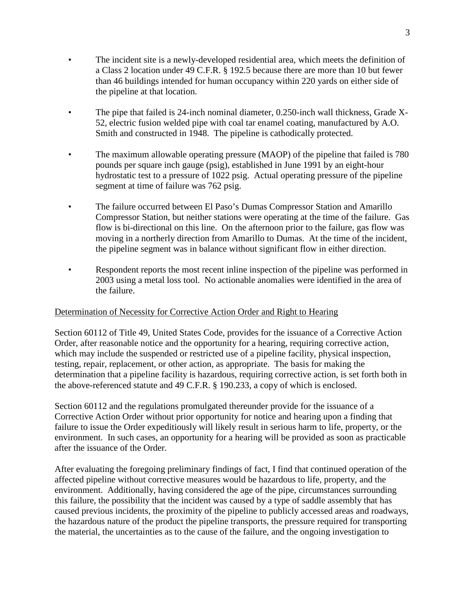- The incident site is a newly-developed residential area, which meets the definition of a Class 2 location under 49 C.F.R. § 192.5 because there are more than 10 but fewer than 46 buildings intended for human occupancy within 220 yards on either side of the pipeline at that location.
- The pipe that failed is 24-inch nominal diameter, 0.250-inch wall thickness, Grade X-52, electric fusion welded pipe with coal tar enamel coating, manufactured by A.O. Smith and constructed in 1948. The pipeline is cathodically protected.
- The maximum allowable operating pressure (MAOP) of the pipeline that failed is 780 pounds per square inch gauge (psig), established in June 1991 by an eight-hour hydrostatic test to a pressure of 1022 psig. Actual operating pressure of the pipeline segment at time of failure was 762 psig.
- The failure occurred between El Paso's Dumas Compressor Station and Amarillo Compressor Station, but neither stations were operating at the time of the failure. Gas flow is bi-directional on this line. On the afternoon prior to the failure, gas flow was moving in a northerly direction from Amarillo to Dumas. At the time of the incident, the pipeline segment was in balance without significant flow in either direction.
- Respondent reports the most recent inline inspection of the pipeline was performed in 2003 using a metal loss tool. No actionable anomalies were identified in the area of the failure.

## Determination of Necessity for Corrective Action Order and Right to Hearing

Section 60112 of Title 49, United States Code, provides for the issuance of a Corrective Action Order, after reasonable notice and the opportunity for a hearing, requiring corrective action, which may include the suspended or restricted use of a pipeline facility, physical inspection, testing, repair, replacement, or other action, as appropriate. The basis for making the determination that a pipeline facility is hazardous, requiring corrective action, is set forth both in the above-referenced statute and 49 C.F.R. § 190.233, a copy of which is enclosed.

Section 60112 and the regulations promulgated thereunder provide for the issuance of a Corrective Action Order without prior opportunity for notice and hearing upon a finding that failure to issue the Order expeditiously will likely result in serious harm to life, property, or the environment. In such cases, an opportunity for a hearing will be provided as soon as practicable after the issuance of the Order.

After evaluating the foregoing preliminary findings of fact, I find that continued operation of the affected pipeline without corrective measures would be hazardous to life, property, and the environment. Additionally, having considered the age of the pipe, circumstances surrounding this failure, the possibility that the incident was caused by a type of saddle assembly that has caused previous incidents, the proximity of the pipeline to publicly accessed areas and roadways, the hazardous nature of the product the pipeline transports, the pressure required for transporting the material, the uncertainties as to the cause of the failure, and the ongoing investigation to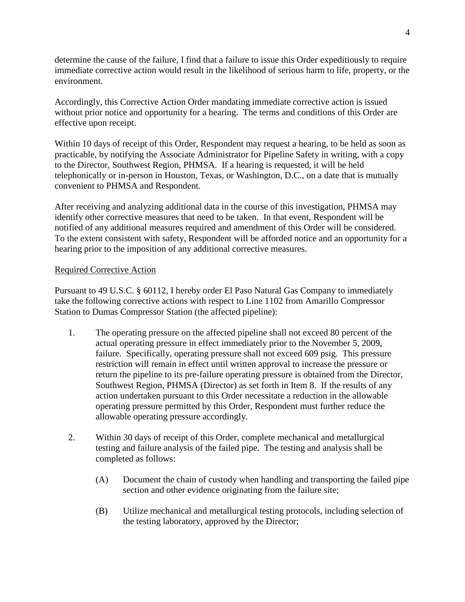determine the cause of the failure, I find that a failure to issue this Order expeditiously to require immediate corrective action would result in the likelihood of serious harm to life, property, or the environment.

Accordingly, this Corrective Action Order mandating immediate corrective action is issued without prior notice and opportunity for a hearing. The terms and conditions of this Order are effective upon receipt.

Within 10 days of receipt of this Order, Respondent may request a hearing, to be held as soon as practicable, by notifying the Associate Administrator for Pipeline Safety in writing, with a copy to the Director, Southwest Region, PHMSA. If a hearing is requested, it will be held telephonically or in-person in Houston, Texas, or Washington, D.C., on a date that is mutually convenient to PHMSA and Respondent.

After receiving and analyzing additional data in the course of this investigation, PHMSA may identify other corrective measures that need to be taken. In that event, Respondent will be notified of any additional measures required and amendment of this Order will be considered. To the extent consistent with safety, Respondent will be afforded notice and an opportunity for a hearing prior to the imposition of any additional corrective measures.

## Required Corrective Action

Pursuant to 49 U.S.C. § 60112, I hereby order El Paso Natural Gas Company to immediately take the following corrective actions with respect to Line 1102 from Amarillo Compressor Station to Dumas Compressor Station (the affected pipeline):

- 1. The operating pressure on the affected pipeline shall not exceed 80 percent of the actual operating pressure in effect immediately prior to the November 5, 2009, failure. Specifically, operating pressure shall not exceed 609 psig. This pressure restriction will remain in effect until written approval to increase the pressure or return the pipeline to its pre-failure operating pressure is obtained from the Director, Southwest Region, PHMSA (Director) as set forth in Item 8. If the results of any action undertaken pursuant to this Order necessitate a reduction in the allowable operating pressure permitted by this Order, Respondent must further reduce the allowable operating pressure accordingly.
- 2. Within 30 days of receipt of this Order, complete mechanical and metallurgical testing and failure analysis of the failed pipe. The testing and analysis shall be completed as follows:
	- (A) Document the chain of custody when handling and transporting the failed pipe section and other evidence originating from the failure site;
	- (B) Utilize mechanical and metallurgical testing protocols, including selection of the testing laboratory, approved by the Director;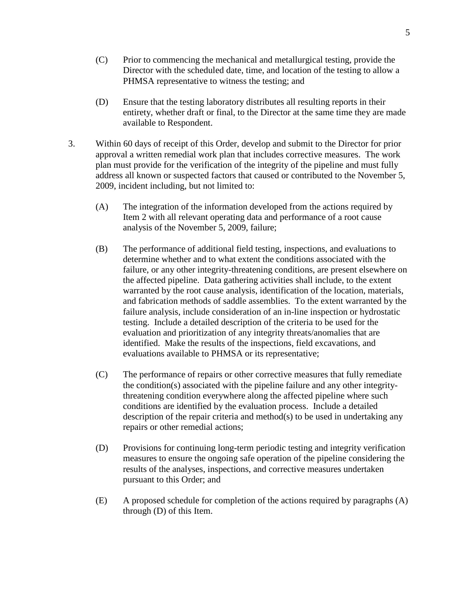- (C) Prior to commencing the mechanical and metallurgical testing, provide the Director with the scheduled date, time, and location of the testing to allow a PHMSA representative to witness the testing; and
- (D) Ensure that the testing laboratory distributes all resulting reports in their entirety, whether draft or final, to the Director at the same time they are made available to Respondent.
- 3. Within 60 days of receipt of this Order, develop and submit to the Director for prior approval a written remedial work plan that includes corrective measures. The work plan must provide for the verification of the integrity of the pipeline and must fully address all known or suspected factors that caused or contributed to the November 5, 2009, incident including, but not limited to:
	- (A) The integration of the information developed from the actions required by Item 2 with all relevant operating data and performance of a root cause analysis of the November 5, 2009, failure;
	- (B) The performance of additional field testing, inspections, and evaluations to determine whether and to what extent the conditions associated with the failure, or any other integrity-threatening conditions, are present elsewhere on the affected pipeline. Data gathering activities shall include, to the extent warranted by the root cause analysis, identification of the location, materials, and fabrication methods of saddle assemblies. To the extent warranted by the failure analysis, include consideration of an in-line inspection or hydrostatic testing. Include a detailed description of the criteria to be used for the evaluation and prioritization of any integrity threats/anomalies that are identified. Make the results of the inspections, field excavations, and evaluations available to PHMSA or its representative;
	- (C) The performance of repairs or other corrective measures that fully remediate the condition(s) associated with the pipeline failure and any other integritythreatening condition everywhere along the affected pipeline where such conditions are identified by the evaluation process. Include a detailed description of the repair criteria and method(s) to be used in undertaking any repairs or other remedial actions;
	- (D) Provisions for continuing long-term periodic testing and integrity verification measures to ensure the ongoing safe operation of the pipeline considering the results of the analyses, inspections, and corrective measures undertaken pursuant to this Order; and
	- (E) A proposed schedule for completion of the actions required by paragraphs (A) through (D) of this Item.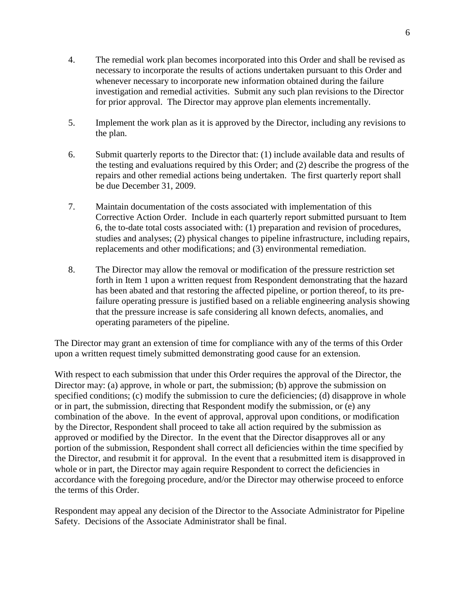- 4. The remedial work plan becomes incorporated into this Order and shall be revised as necessary to incorporate the results of actions undertaken pursuant to this Order and whenever necessary to incorporate new information obtained during the failure investigation and remedial activities. Submit any such plan revisions to the Director for prior approval. The Director may approve plan elements incrementally.
- 5. Implement the work plan as it is approved by the Director, including any revisions to the plan.
- 6. Submit quarterly reports to the Director that: (1) include available data and results of the testing and evaluations required by this Order; and (2) describe the progress of the repairs and other remedial actions being undertaken. The first quarterly report shall be due December 31, 2009.
- 7. Maintain documentation of the costs associated with implementation of this Corrective Action Order. Include in each quarterly report submitted pursuant to Item 6, the to-date total costs associated with: (1) preparation and revision of procedures, studies and analyses; (2) physical changes to pipeline infrastructure, including repairs, replacements and other modifications; and (3) environmental remediation.
- 8. The Director may allow the removal or modification of the pressure restriction set forth in Item 1 upon a written request from Respondent demonstrating that the hazard has been abated and that restoring the affected pipeline, or portion thereof, to its prefailure operating pressure is justified based on a reliable engineering analysis showing that the pressure increase is safe considering all known defects, anomalies, and operating parameters of the pipeline.

The Director may grant an extension of time for compliance with any of the terms of this Order upon a written request timely submitted demonstrating good cause for an extension.

With respect to each submission that under this Order requires the approval of the Director, the Director may: (a) approve, in whole or part, the submission; (b) approve the submission on specified conditions; (c) modify the submission to cure the deficiencies; (d) disapprove in whole or in part, the submission, directing that Respondent modify the submission, or (e) any combination of the above. In the event of approval, approval upon conditions, or modification by the Director, Respondent shall proceed to take all action required by the submission as approved or modified by the Director. In the event that the Director disapproves all or any portion of the submission, Respondent shall correct all deficiencies within the time specified by the Director, and resubmit it for approval. In the event that a resubmitted item is disapproved in whole or in part, the Director may again require Respondent to correct the deficiencies in accordance with the foregoing procedure, and/or the Director may otherwise proceed to enforce the terms of this Order.

Respondent may appeal any decision of the Director to the Associate Administrator for Pipeline Safety. Decisions of the Associate Administrator shall be final.